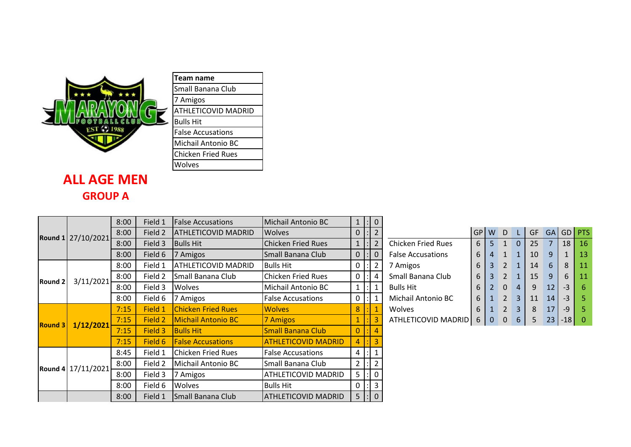

| Team name                 |
|---------------------------|
| Small Banana Club         |
| 7 Amigos                  |
| ATHLETICOVID MADRID       |
| <b>Bulls Hit</b>          |
| <b>False Accusations</b>  |
| Michail Antonio BC        |
| <b>Chicken Fried Rues</b> |
| Wolves                    |

## **ALL AGE MEN GROUP A**

|  |                | Round 1 27/10/2021 | 8:00 | Field 1 | <b>False Accusations</b>  | <b>Michail Antonio BC</b>  | $1$  : 0       |                |                           |                |                |                |              |           |                |         |               |
|--|----------------|--------------------|------|---------|---------------------------|----------------------------|----------------|----------------|---------------------------|----------------|----------------|----------------|--------------|-----------|----------------|---------|---------------|
|  |                |                    | 8:00 | Field 2 | ATHLETICOVID MADRID       | <b>Wolves</b>              | 0              |                |                           | GP W D         |                |                |              | <b>GF</b> | GA GD PTS      |         |               |
|  |                |                    | 8:00 | Field 3 | <b>Bulls Hit</b>          | <b>Chicken Fried Rues</b>  | $1 \mid$       | $\overline{2}$ | <b>Chicken Fried Rues</b> | 6              | 5 <sup>1</sup> |                | $\Omega$     | 25        | 7              |         | $18$   16     |
|  |                |                    | 8:00 | Field 6 | 7 Amigos                  | Small Banana Club          | 0              | $\Omega$       | <b>False Accusations</b>  | 6 <sup>1</sup> |                |                |              | 10        | 9              |         | <sup>13</sup> |
|  |                | 3/11/2021          | 8:00 | Field 1 | ATHLETICOVID MADRID       | Bulls Hit                  | 0              |                | 7 Amigos                  | 6              |                | 2              |              | 14        | 6              | 8       | <b>11</b>     |
|  | <b>Round 2</b> |                    | 8:00 | Field 2 | Small Banana Club         | <b>Chicken Fried Rues</b>  | $\mathbf{0}$   |                | Small Banana Club         | 6 I            |                | $\overline{2}$ | $\mathbf{1}$ | 15        | 9              | 6       | <b>11</b>     |
|  |                |                    | 8:00 | Field 3 | Wolves                    | Michail Antonio BC         | 1              |                | <b>Bulls Hit</b>          | 6              |                | 0              | 4            | 9         | 12             | -3      | 6             |
|  |                |                    | 8:00 | Field 6 | 7 Amigos                  | <b>False Accusations</b>   | 0              |                | <b>Michail Antonio BC</b> | 6              |                | $\overline{2}$ | 3            | 11        | 14             | -3      | 5.            |
|  |                |                    | 7:15 | Field 1 | <b>Chicken Fried Rues</b> | <b>Wolves</b>              | 8              |                | <b>Wolves</b>             | 6              |                |                | 3            | 8         | 17<br>-9<br>23 |         | 5.            |
|  | <b>Round 3</b> | 1/12/2021          | 7:15 | Field 2 | Michail Antonio BC        | 7 Amigos                   | 1              |                | ATHLETICOVID MADRID       | 6              | $\bf{0}$       | 0              | 6            | 5         |                | $-18$ 0 |               |
|  |                |                    | 7:15 | Field 3 | <b>Bulls Hit</b>          | <b>Small Banana Club</b>   | $\mathbf{0}$   |                |                           |                |                |                |              |           |                |         |               |
|  |                |                    | 7:15 | Field 6 | <b>False Accusations</b>  | <b>ATHLETICOVID MADRID</b> | 4              | 3              |                           |                |                |                |              |           |                |         |               |
|  |                | Round 4 17/11/2021 | 8:45 | Field 1 | <b>Chicken Fried Rues</b> | <b>False Accusations</b>   | 4              |                |                           |                |                |                |              |           |                |         |               |
|  |                |                    | 8:00 | Field 2 | Michail Antonio BC        | Small Banana Club          | $\overline{2}$ |                |                           |                |                |                |              |           |                |         |               |
|  |                |                    | 8:00 | Field 3 | 7 Amigos                  | ATHLETICOVID MADRID        | 5 <sup>1</sup> | 0              |                           |                |                |                |              |           |                |         |               |
|  |                |                    | 8:00 | Field 6 | <b>Wolves</b>             | <b>Bulls Hit</b>           | 0 <sup>1</sup> | 3              |                           |                |                |                |              |           |                |         |               |
|  |                |                    | 8:00 | Field 1 | Small Banana Club         | <b>ATHLETICOVID MADRID</b> |                | $5 \mid 0$     |                           |                |                |                |              |           |                |         |               |

| GP |                | D              | L            | GF | <b>GA</b> | GD    | <b>PTS</b> |
|----|----------------|----------------|--------------|----|-----------|-------|------------|
| 6  | 5              | 1              | 0            | 25 | 7         | 18    | 16         |
| 6  | 4              | 1              | 1            | 10 | 9         | 1     | 13         |
| 6  | 3              | $\mathcal{P}$  | $\mathbf{1}$ | 14 | 6         | 8     | 11         |
| 6  | 3              | $\mathfrak{p}$ | 1            | 15 | 9         | 6     | 11         |
| 6  | $\overline{2}$ | O              | 4            | 9  | 12        | $-3$  | 6          |
| 6  | 1              | $\mathfrak{p}$ | 3            | 11 | 14        | $-3$  | -5         |
| 6  | 1              | $\mathfrak{p}$ | 3            | 8  | 17        | $-9$  | -5         |
| 6  | 0              |                | 6            |    | 23        | $-18$ |            |
|    |                |                |              |    |           |       |            |